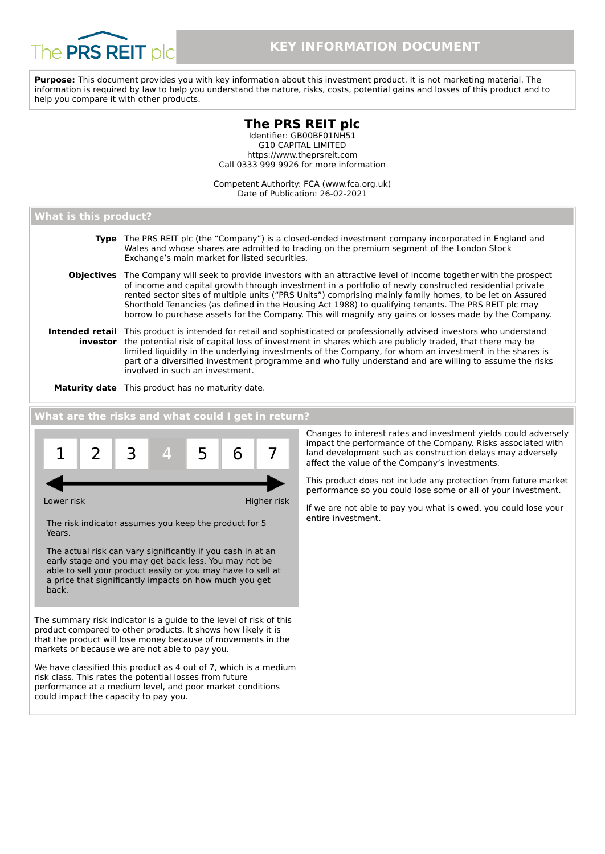

**Purpose:** This document provides you with key information about this investment product. It is not marketing material. The information is required by law to help you understand the nature, risks, costs, potential gains and losses of this product and to help you compare it with other products.

# **The PRS REIT plc**

Identifier: GB00BF01NH51 G10 CAPITAL LIMITED https://www.theprsreit.com Call 0333 999 9926 for more information

Competent Authority: FCA (www.fca.org.uk) Date of Publication: 26-02-2021

## **What is this product?**

| Type The PRS REIT plc (the "Company") is a closed-ended investment company incorporated in England and<br>Wales and whose shares are admitted to trading on the premium segment of the London Stock<br>Exchange's main market for listed securities.                                                                                                                                                                                                                                                                                                               |
|--------------------------------------------------------------------------------------------------------------------------------------------------------------------------------------------------------------------------------------------------------------------------------------------------------------------------------------------------------------------------------------------------------------------------------------------------------------------------------------------------------------------------------------------------------------------|
| <b>Objectives</b> The Company will seek to provide investors with an attractive level of income together with the prospect<br>of income and capital growth through investment in a portfolio of newly constructed residential private<br>rented sector sites of multiple units ("PRS Units") comprising mainly family homes, to be let on Assured<br>Shorthold Tenancies (as defined in the Housing Act 1988) to qualifying tenants. The PRS REIT plc may<br>borrow to purchase assets for the Company. This will magnify any gains or losses made by the Company. |
| Intended retail This product is intended for retail and sophisticated or professionally advised investors who understand<br>investor the potential risk of capital loss of investment in shares which are publicly traded, that there may be<br>limited liquidity in the underlying investments of the Company, for whom an investment in the shares is<br>part of a diversified investment programme and who fully understand and are willing to assume the risks<br>involved in such an investment.                                                              |

**Maturity date** This product has no maturity date.

## **What are the risks and what could I get in return?**



Changes to interest rates and investment yields could adversely impact the performance of the Company. Risks associated with land development such as construction delays may adversely affect the value of the Company's investments.

This product does not include any protection from future market performance so you could lose some or all of your investment.

If we are not able to pay you what is owed, you could lose your entire investment.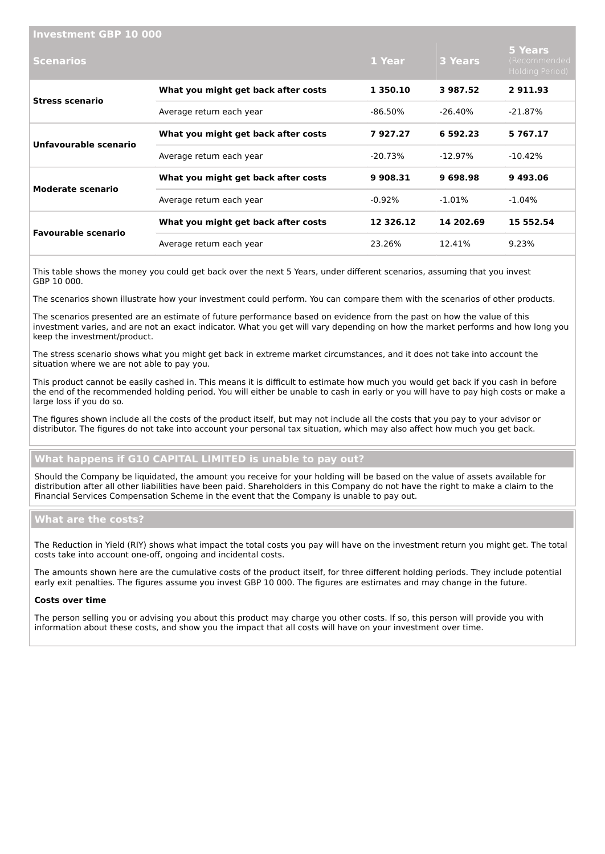| <b>Investment GBP 10 000</b> |                                     |            |                |                                            |
|------------------------------|-------------------------------------|------------|----------------|--------------------------------------------|
| <b>Scenarios</b>             |                                     | 1 Year     | <b>3 Years</b> | 5 Years<br>(Recommended<br>Holding Period) |
| <b>Stress scenario</b>       | What you might get back after costs | 1 350.10   | 3987.52        | 2911.93                                    |
|                              | Average return each year            | -86.50%    | $-26.40\%$     | -21.87%                                    |
| Unfavourable scenario        | What you might get back after costs | 7927.27    | 6 592.23       | 5767.17                                    |
|                              | Average return each year            | $-20.73\%$ | $-12.97\%$     | $-10.42\%$                                 |
| <b>Moderate scenario</b>     | What you might get back after costs | 9 908.31   | 9698.98        | 9493.06                                    |
|                              | Average return each year            | $-0.92\%$  | $-1.01\%$      | $-1.04\%$                                  |
| <b>Favourable scenario</b>   | What you might get back after costs | 12 326.12  | 14 202.69      | 15 552.54                                  |
|                              | Average return each year            | 23.26%     | 12.41%         | 9.23%                                      |

This table shows the money you could get back over the next 5 Years, under different scenarios, assuming that you invest GBP 10 000.

The scenarios shown illustrate how your investment could perform. You can compare them with the scenarios of other products.

The scenarios presented are an estimate of future performance based on evidence from the past on how the value of this investment varies, and are not an exact indicator. What you get will vary depending on how the market performs and how long you keep the investment/product.

The stress scenario shows what you might get back in extreme market circumstances, and it does not take into account the situation where we are not able to pay you.

This product cannot be easily cashed in. This means it is difficult to estimate how much you would get back if you cash in before the end of the recommended holding period. You will either be unable to cash in early or you will have to pay high costs or make a large loss if you do so.

The figures shown include all the costs of the product itself, but may not include all the costs that you pay to your advisor or distributor. The figures do not take into account your personal tax situation, which may also affect how much you get back.

## **What happens if G10 CAPITAL LIMITED is unable to pay out?**

Should the Company be liquidated, the amount you receive for your holding will be based on the value of assets available for distribution after all other liabilities have been paid. Shareholders in this Company do not have the right to make a claim to the Financial Services Compensation Scheme in the event that the Company is unable to pay out.

## **What are the costs?**

The Reduction in Yield (RIY) shows what impact the total costs you pay will have on the investment return you might get. The total costs take into account one-off, ongoing and incidental costs.

The amounts shown here are the cumulative costs of the product itself, for three different holding periods. They include potential early exit penalties. The figures assume you invest GBP 10 000. The figures are estimates and may change in the future.

#### **Costs over time**

The person selling you or advising you about this product may charge you other costs. If so, this person will provide you with information about these costs, and show you the impact that all costs will have on your investment over time.